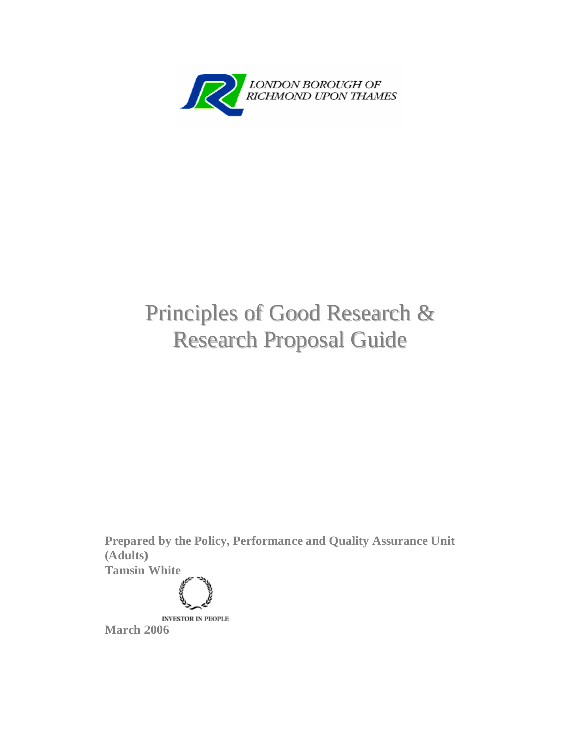

## Principles of Good Research & Research Proposal Guide

**Prepared by the Policy, Performance and Quality Assurance Unit (Adults)** 

**Tamsin White** 

**INVESTOR IN PEOPLE** 

**March 2006**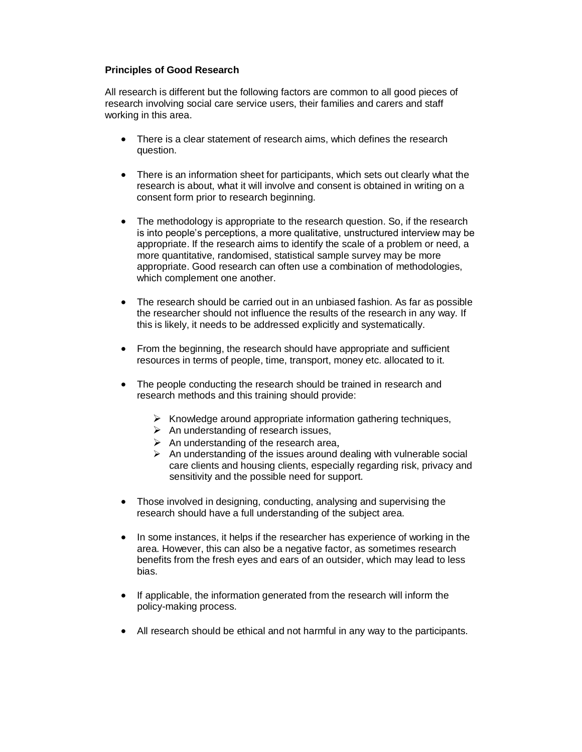## **Principles of Good Research**

All research is different but the following factors are common to all good pieces of research involving social care service users, their families and carers and staff working in this area.

- There is a clear statement of research aims, which defines the research question.
- There is an information sheet for participants, which sets out clearly what the research is about, what it will involve and consent is obtained in writing on a consent form prior to research beginning.
- The methodology is appropriate to the research question. So, if the research is into people's perceptions, a more qualitative, unstructured interview may be appropriate. If the research aims to identify the scale of a problem or need, a more quantitative, randomised, statistical sample survey may be more appropriate. Good research can often use a combination of methodologies, which complement one another.
- The research should be carried out in an unbiased fashion. As far as possible the researcher should not influence the results of the research in any way. If this is likely, it needs to be addressed explicitly and systematically.
- From the beginning, the research should have appropriate and sufficient resources in terms of people, time, transport, money etc. allocated to it.
- The people conducting the research should be trained in research and research methods and this training should provide:
	- $\triangleright$  Knowledge around appropriate information gathering techniques,
	- $\triangleright$  An understanding of research issues,
	- $\triangleright$  An understanding of the research area,
	- $\triangleright$  An understanding of the issues around dealing with vulnerable social care clients and housing clients, especially regarding risk, privacy and sensitivity and the possible need for support.
- Those involved in designing, conducting, analysing and supervising the research should have a full understanding of the subject area.
- In some instances, it helps if the researcher has experience of working in the area. However, this can also be a negative factor, as sometimes research benefits from the fresh eyes and ears of an outsider, which may lead to less bias.
- If applicable, the information generated from the research will inform the policy-making process.
- All research should be ethical and not harmful in any way to the participants.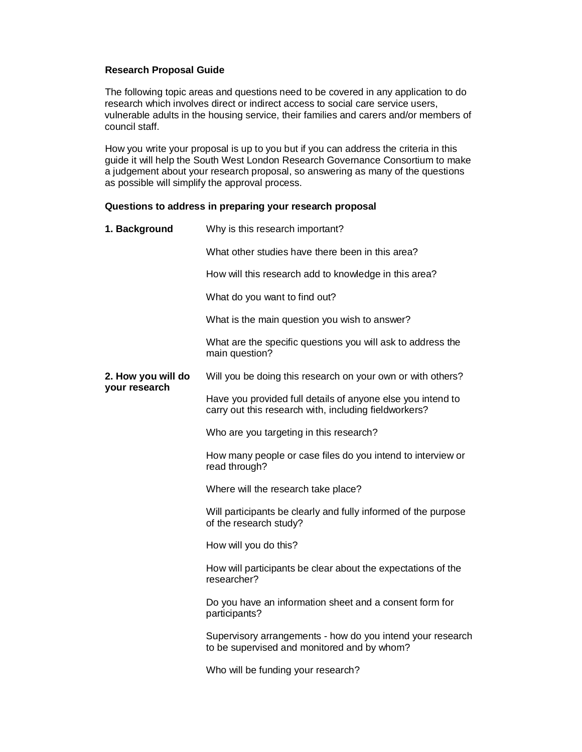## **Research Proposal Guide**

The following topic areas and questions need to be covered in any application to do research which involves direct or indirect access to social care service users, vulnerable adults in the housing service, their families and carers and/or members of council staff.

How you write your proposal is up to you but if you can address the criteria in this guide it will help the South West London Research Governance Consortium to make a judgement about your research proposal, so answering as many of the questions as possible will simplify the approval process.

## **Questions to address in preparing your research proposal**

| 1. Background                       | Why is this research important?                                                                                      |
|-------------------------------------|----------------------------------------------------------------------------------------------------------------------|
|                                     | What other studies have there been in this area?                                                                     |
|                                     | How will this research add to knowledge in this area?                                                                |
|                                     | What do you want to find out?                                                                                        |
|                                     | What is the main question you wish to answer?                                                                        |
|                                     | What are the specific questions you will ask to address the<br>main question?                                        |
| 2. How you will do<br>your research | Will you be doing this research on your own or with others?                                                          |
|                                     | Have you provided full details of anyone else you intend to<br>carry out this research with, including fieldworkers? |
|                                     | Who are you targeting in this research?                                                                              |
|                                     | How many people or case files do you intend to interview or<br>read through?                                         |
|                                     | Where will the research take place?                                                                                  |
|                                     | Will participants be clearly and fully informed of the purpose<br>of the research study?                             |
|                                     | How will you do this?                                                                                                |
|                                     | How will participants be clear about the expectations of the<br>researcher?                                          |
|                                     | Do you have an information sheet and a consent form for<br>participants?                                             |
|                                     | Supervisory arrangements - how do you intend your research<br>to be supervised and monitored and by whom?            |
|                                     | Who will be funding your research?                                                                                   |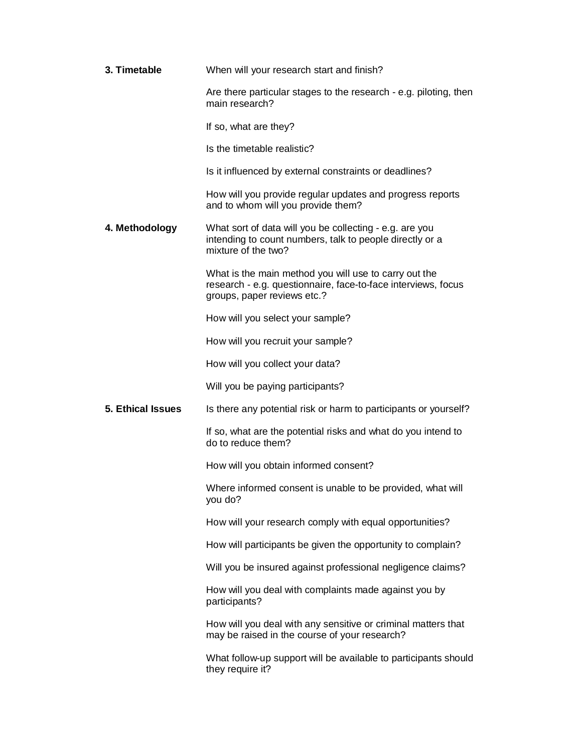| 3. Timetable             | When will your research start and finish?                                                                                                             |
|--------------------------|-------------------------------------------------------------------------------------------------------------------------------------------------------|
|                          | Are there particular stages to the research - e.g. piloting, then<br>main research?                                                                   |
|                          | If so, what are they?                                                                                                                                 |
|                          | Is the timetable realistic?                                                                                                                           |
|                          | Is it influenced by external constraints or deadlines?                                                                                                |
|                          | How will you provide regular updates and progress reports<br>and to whom will you provide them?                                                       |
| 4. Methodology           | What sort of data will you be collecting - e.g. are you<br>intending to count numbers, talk to people directly or a<br>mixture of the two?            |
|                          | What is the main method you will use to carry out the<br>research - e.g. questionnaire, face-to-face interviews, focus<br>groups, paper reviews etc.? |
|                          | How will you select your sample?                                                                                                                      |
|                          | How will you recruit your sample?                                                                                                                     |
|                          | How will you collect your data?                                                                                                                       |
|                          | Will you be paying participants?                                                                                                                      |
| <b>5. Ethical Issues</b> | Is there any potential risk or harm to participants or yourself?                                                                                      |
|                          | If so, what are the potential risks and what do you intend to<br>do to reduce them?                                                                   |
|                          | How will you obtain informed consent?                                                                                                                 |
|                          | Where informed consent is unable to be provided, what will<br>you do?                                                                                 |
|                          | How will your research comply with equal opportunities?                                                                                               |
|                          | How will participants be given the opportunity to complain?                                                                                           |
|                          | Will you be insured against professional negligence claims?                                                                                           |
|                          | How will you deal with complaints made against you by<br>participants?                                                                                |
|                          | How will you deal with any sensitive or criminal matters that<br>may be raised in the course of your research?                                        |
|                          | What follow-up support will be available to participants should<br>they require it?                                                                   |